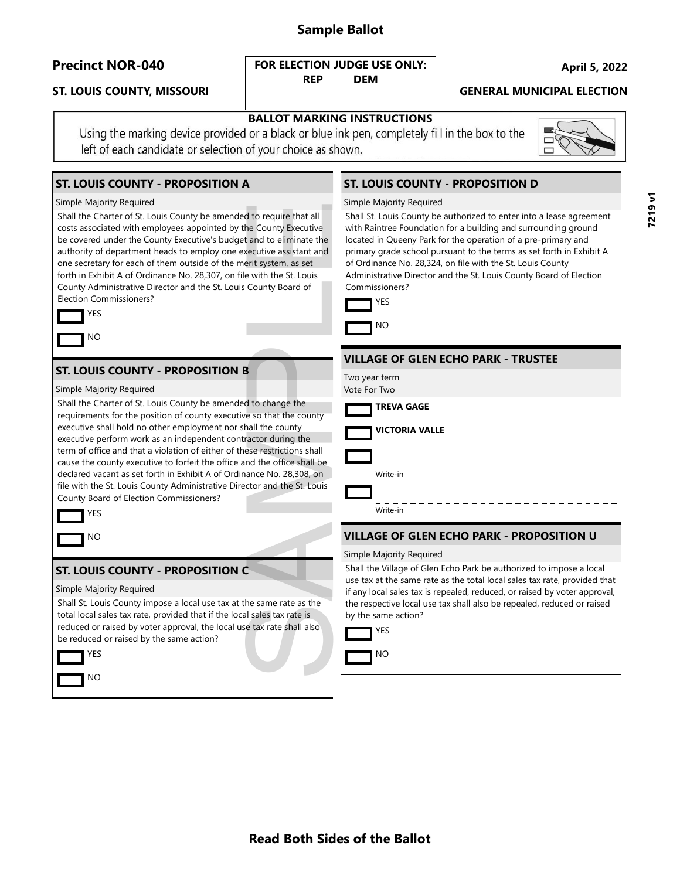## **Sample Ballot**

### **ST. LOUIS COUNTY, MISSOURI GENERAL MUNICIPAL ELECTION**

#### **Precinct NOR-040 April 5, 2022 FOR ELECTION JUDGE USE ONLY: REP DEM**

|  | <b>BALLOT MARKING INSTRUCTIONS</b> |
|--|------------------------------------|

Using the marking device provided or a black or blue ink pen, completely fill in the box to the left of each candidate or selection of your choice as shown.

## **ST. LOUIS COUNTY - PROPOSITION A**

#### Simple Majority Required

Shall the Charter of St. Louis County be amended to require that all costs associated with employees appointed by the County Executive be covered under the County Executive's budget and to eliminate the authority of department heads to employ one executive assistant and one secretary for each of them outside of the merit system, as set forth in Exhibit A of Ordinance No. 28,307, on file with the St. Louis County Administrative Director and the St. Louis County Board of Election Commissioners?



### **ST. LOUIS COUNTY - PROPOSITION B**

Simple Majority Required

Shall the Charter of St. Louis County be amended to change the requirements for the position of county executive so that the county executive shall hold no other employment nor shall the county executive perform work as an independent contractor during the term of office and that a violation of either of these restrictions shall cause the county executive to forfeit the office and the office shall be declared vacant as set forth in Exhibit A of Ordinance No. 28,308, on file with the St. Louis County Administrative Director and the St. Louis County Board of Election Commissioners? d to require that all<br>the County Executive<br>and to eliminate the<br>ecutive assistant and<br>erit system, as set<br>with the St. Louis<br>County Board of<br>Sounty Board of<br>d to change the<br>e so that the county<br>all the county<br>and the count

| YFS     |
|---------|
| N١<br>Ο |

#### **ST. LOUIS COUNTY - PROPOSITION C**

Simple Majority Required

Shall St. Louis County impose a local use tax at the same rate as the total local sales tax rate, provided that if the local sales tax rate is reduced or raised by voter approval, the local use tax rate shall also be reduced or raised by the same action?



## **ST. LOUIS COUNTY - PROPOSITION D**

#### Simple Majority Required



Shall St. Louis County be authorized to enter into a lease agreement with Raintree Foundation for a building and surrounding ground located in Queeny Park for the operation of a pre-primary and primary grade school pursuant to the terms as set forth in Exhibit A of Ordinance No. 28,324, on file with the St. Louis County Administrative Director and the St. Louis County Board of Election Commissioners?



#### **VILLAGE OF GLEN ECHO PARK - TRUSTEE**

Two year term Vote For Two

**TREVA GAGE**

Write-in

**VICTORIA VALLE**

Write-in

## **VILLAGE OF GLEN ECHO PARK - PROPOSITION U**

#### Simple Majority Required

Shall the Village of Glen Echo Park be authorized to impose a local use tax at the same rate as the total local sales tax rate, provided that if any local sales tax is repealed, reduced, or raised by voter approval, the respective local use tax shall also be repealed, reduced or raised by the same action?



NO